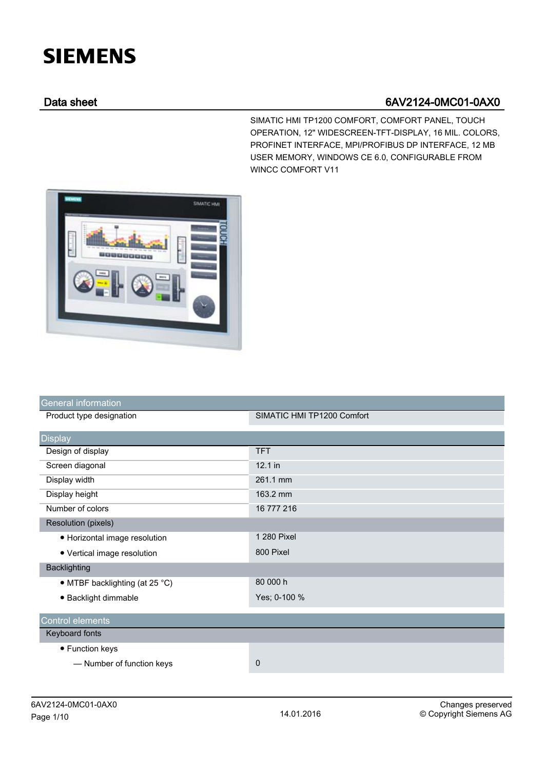## **SIEMENS**

## Data sheet 6AV2124-0MC01-0AX0

SIMATIC HMI TP1200 COMFORT, COMFORT PANEL, TOUCH OPERATION, 12" WIDESCREEN-TFT-DISPLAY, 16 MIL. COLORS, PROFINET INTERFACE, MPI/PROFIBUS DP INTERFACE, 12 MB USER MEMORY, WINDOWS CE 6.0, CONFIGURABLE FROM WINCC COMFORT V11



| General information            |                            |
|--------------------------------|----------------------------|
| Product type designation       | SIMATIC HMI TP1200 Comfort |
| <b>Display</b>                 |                            |
| Design of display              | <b>TFT</b>                 |
| Screen diagonal                | $12.1$ in                  |
| Display width                  | 261.1 mm                   |
| Display height                 | 163.2 mm                   |
| Number of colors               | 16 777 216                 |
| <b>Resolution (pixels)</b>     |                            |
| • Horizontal image resolution  | 1 280 Pixel                |
| • Vertical image resolution    | 800 Pixel                  |
| Backlighting                   |                            |
| • MTBF backlighting (at 25 °C) | 80 000 h                   |
| · Backlight dimmable           | Yes; 0-100 %               |
| <b>Control elements</b>        |                            |
| Keyboard fonts                 |                            |
| • Function keys                |                            |
| - Number of function keys      | 0                          |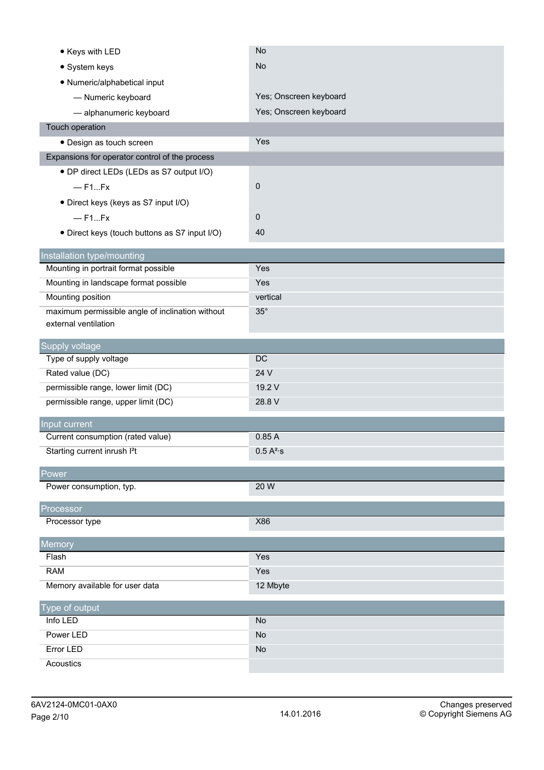| • Keys with LED                                                    | No                     |
|--------------------------------------------------------------------|------------------------|
| • System keys                                                      | <b>No</b>              |
| • Numeric/alphabetical input                                       |                        |
| - Numeric keyboard                                                 | Yes; Onscreen keyboard |
| - alphanumeric keyboard                                            | Yes; Onscreen keyboard |
| Touch operation                                                    |                        |
| · Design as touch screen                                           | Yes                    |
| Expansions for operator control of the process                     |                        |
| • DP direct LEDs (LEDs as S7 output I/O)                           |                        |
| $-$ F1Fx                                                           | 0                      |
| · Direct keys (keys as S7 input I/O)                               |                        |
| $-$ F1Fx                                                           | 0                      |
| · Direct keys (touch buttons as S7 input I/O)                      | 40                     |
|                                                                    |                        |
| Installation type/mounting<br>Mounting in portrait format possible | Yes                    |
| Mounting in landscape format possible                              | Yes                    |
| Mounting position                                                  | vertical               |
| maximum permissible angle of inclination without                   | $35^\circ$             |
| external ventilation                                               |                        |
|                                                                    |                        |
| Supply voltage<br>Type of supply voltage                           | DC                     |
| Rated value (DC)                                                   | 24 V                   |
| permissible range, lower limit (DC)                                | 19.2 V                 |
| permissible range, upper limit (DC)                                | 28.8 V                 |
|                                                                    |                        |
| Input current<br>Current consumption (rated value)                 | 0.85A                  |
| Starting current inrush I <sup>2</sup> t                           | 0.5 A <sup>2</sup> ·s  |
|                                                                    |                        |
| Power                                                              |                        |
|                                                                    |                        |
| Power consumption, typ.                                            | 20 W                   |
|                                                                    |                        |
| Processor<br>Processor type                                        | X86                    |
|                                                                    |                        |
| Memory                                                             |                        |
| Flash                                                              | Yes                    |
| <b>RAM</b>                                                         | Yes                    |
| Memory available for user data                                     | 12 Mbyte               |
| Type of output                                                     |                        |
| Info LED                                                           | <b>No</b>              |
| Power LED                                                          | <b>No</b>              |
| <b>Error LED</b><br>Acoustics                                      | <b>No</b>              |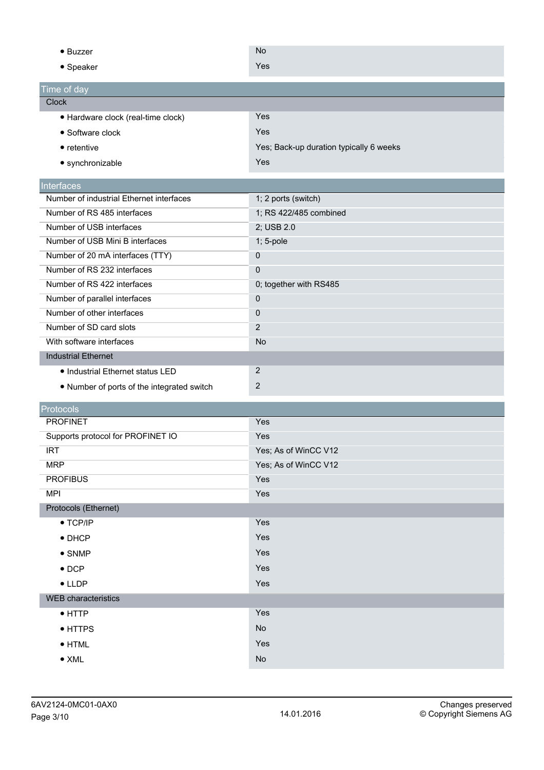| $\bullet$ Buzzer                           | <b>No</b>                               |
|--------------------------------------------|-----------------------------------------|
| • Speaker                                  | Yes                                     |
| Time of day                                |                                         |
| <b>Clock</b>                               |                                         |
| · Hardware clock (real-time clock)         | Yes                                     |
| • Software clock                           | Yes                                     |
| $\bullet$ retentive                        | Yes; Back-up duration typically 6 weeks |
| • synchronizable                           | Yes                                     |
| Interfaces                                 |                                         |
| Number of industrial Ethernet interfaces   | 1; 2 ports (switch)                     |
| Number of RS 485 interfaces                | 1; RS 422/485 combined                  |
| Number of USB interfaces                   | 2; USB 2.0                              |
| Number of USB Mini B interfaces            | 1; 5-pole                               |
| Number of 20 mA interfaces (TTY)           | 0                                       |
| Number of RS 232 interfaces                | $\mathbf 0$                             |
| Number of RS 422 interfaces                | 0; together with RS485                  |
| Number of parallel interfaces              | 0                                       |
| Number of other interfaces                 | 0                                       |
| Number of SD card slots                    | $\overline{2}$                          |
| With software interfaces                   | <b>No</b>                               |
| <b>Industrial Ethernet</b>                 |                                         |
| • Industrial Ethernet status LED           | $\overline{2}$                          |
| • Number of ports of the integrated switch | $\mathbf{2}$                            |
|                                            |                                         |
| Protocols                                  |                                         |
| <b>PROFINET</b>                            | Yes                                     |
| Supports protocol for PROFINET IO          | Yes                                     |
| <b>IRT</b>                                 | Yes; As of WinCC V12                    |
| <b>MRP</b>                                 | Yes; As of WinCC V12                    |
| <b>PROFIBUS</b>                            | Yes                                     |
| <b>MPI</b>                                 | Yes                                     |
| Protocols (Ethernet)                       |                                         |
| $\bullet$ TCP/IP                           | Yes                                     |
| $\bullet$ DHCP                             | Yes                                     |
| $\bullet$ SNMP                             | Yes                                     |
| $\bullet$ DCP                              | Yes                                     |
| $\bullet$ LLDP                             | Yes                                     |
| <b>WEB</b> characteristics                 |                                         |
| $\bullet$ HTTP                             | Yes                                     |
| • HTTPS                                    | No                                      |
| $\bullet$ HTML                             | Yes                                     |
| $\bullet$ XML                              | No                                      |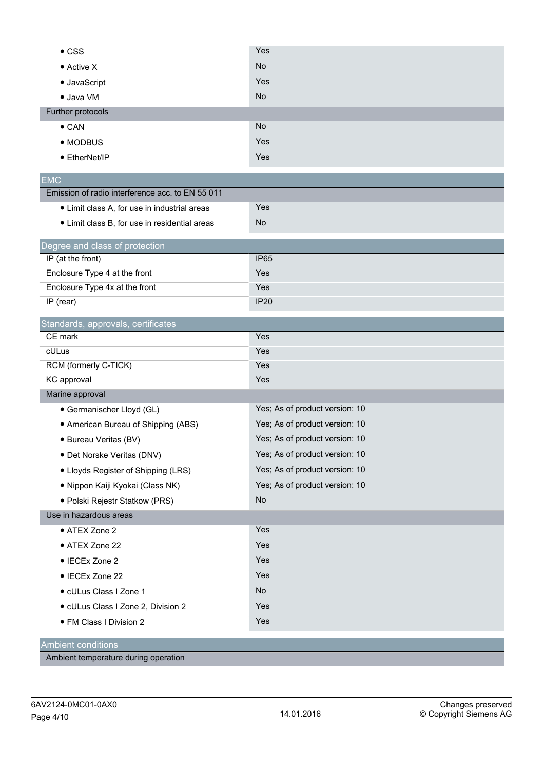| $\bullet$ CSS                                    | Yes                            |
|--------------------------------------------------|--------------------------------|
| $\bullet$ Active X                               | <b>No</b>                      |
| • JavaScript                                     | Yes                            |
| · Java VM                                        | <b>No</b>                      |
| Further protocols                                |                                |
| $\bullet$ CAN                                    | <b>No</b>                      |
| • MODBUS                                         | Yes                            |
| • EtherNet/IP                                    | Yes                            |
| <b>EMC</b>                                       |                                |
| Emission of radio interference acc. to EN 55 011 |                                |
| • Limit class A, for use in industrial areas     | Yes                            |
| • Limit class B, for use in residential areas    | <b>No</b>                      |
| Degree and class of protection                   |                                |
| IP (at the front)                                | <b>IP65</b>                    |
| Enclosure Type 4 at the front                    | Yes                            |
| Enclosure Type 4x at the front                   | Yes                            |
| IP (rear)                                        | <b>IP20</b>                    |
| Standards, approvals, certificates               |                                |
| CE mark                                          | Yes                            |
| cULus                                            | Yes                            |
| RCM (formerly C-TICK)                            | Yes                            |
| <b>KC</b> approval                               | Yes                            |
| Marine approval                                  |                                |
| · Germanischer Lloyd (GL)                        | Yes; As of product version: 10 |
| • American Bureau of Shipping (ABS)              | Yes; As of product version: 10 |
| · Bureau Veritas (BV)                            | Yes; As of product version: 10 |
| · Det Norske Veritas (DNV)                       | Yes; As of product version: 10 |
| • Lloyds Register of Shipping (LRS)              | Yes; As of product version: 10 |
| · Nippon Kaiji Kyokai (Class NK)                 | Yes; As of product version: 10 |
| · Polski Rejestr Statkow (PRS)                   | <b>No</b>                      |
| Use in hazardous areas                           |                                |
| • ATEX Zone 2                                    | Yes                            |
| • ATEX Zone 22                                   | Yes                            |
| • IECEx Zone 2                                   | Yes                            |
| • IECEx Zone 22                                  | Yes                            |
| · cULus Class I Zone 1                           | No                             |
| · cULus Class I Zone 2, Division 2               | Yes                            |
| • FM Class I Division 2                          | Yes                            |
| <b>Ambient conditions</b>                        |                                |

Ambient temperature during operation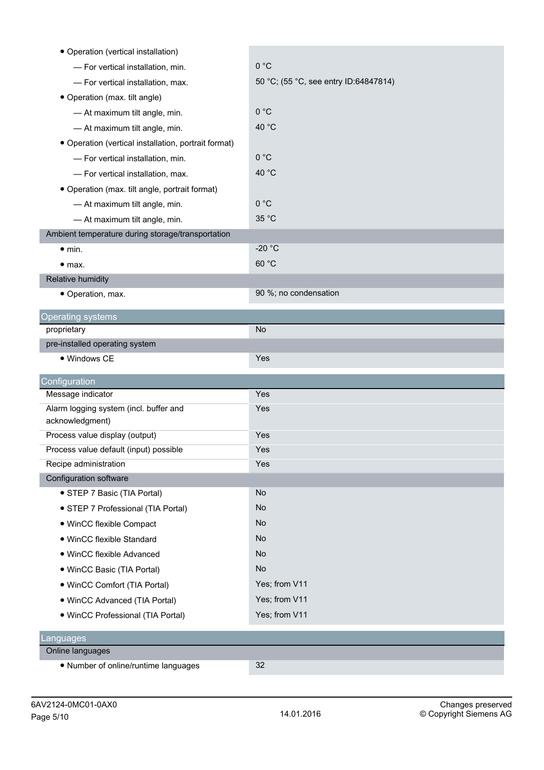| • Operation (vertical installation)                  |                                       |
|------------------------------------------------------|---------------------------------------|
| - For vertical installation, min.                    | 0 °C                                  |
| - For vertical installation, max.                    | 50 °C; (55 °C, see entry ID:64847814) |
| • Operation (max. tilt angle)                        |                                       |
| - At maximum tilt angle, min.                        | 0 °C                                  |
| - At maximum tilt angle, min.                        | 40 °C                                 |
| • Operation (vertical installation, portrait format) |                                       |
| - For vertical installation, min.                    | 0 °C                                  |
| - For vertical installation, max.                    | 40 °C                                 |
| • Operation (max. tilt angle, portrait format)       |                                       |
| - At maximum tilt angle, min.                        | 0 °C                                  |
| - At maximum tilt angle, min.                        | 35 °C                                 |
| Ambient temperature during storage/transportation    |                                       |
| $\bullet$ min.                                       | $-20 °C$                              |
| $\bullet$ max.                                       | 60 °C                                 |
| Relative humidity                                    |                                       |
| • Operation, max.                                    | 90 %; no condensation                 |
| <b>Operating systems</b>                             |                                       |
| proprietary                                          | <b>No</b>                             |
| pre-installed operating system                       |                                       |
| • Windows CE                                         | Yes                                   |
| Configuration                                        |                                       |
| Message indicator                                    | Yes                                   |
| Alarm logging system (incl. buffer and               | Yes                                   |
| acknowledgment)                                      |                                       |
| Process value display (output)                       | Yes                                   |
| Process value default (input) possible               | Yes                                   |
| Recipe administration                                | Yes                                   |
| Configuration software                               |                                       |
| • STEP 7 Basic (TIA Portal)                          | No                                    |
| • STEP 7 Professional (TIA Portal)                   | No                                    |
| • WinCC flexible Compact                             | No                                    |
| · WinCC flexible Standard                            | No                                    |
| • WinCC flexible Advanced                            | No                                    |
| • WinCC Basic (TIA Portal)                           | No                                    |
| • WinCC Comfort (TIA Portal)                         | Yes; from V11                         |
| • WinCC Advanced (TIA Portal)                        | Yes; from V11                         |
| · WinCC Professional (TIA Portal)                    | Yes; from V11                         |
| Languages                                            |                                       |
| Online languages                                     |                                       |
| • Number of online/runtime languages                 | 32                                    |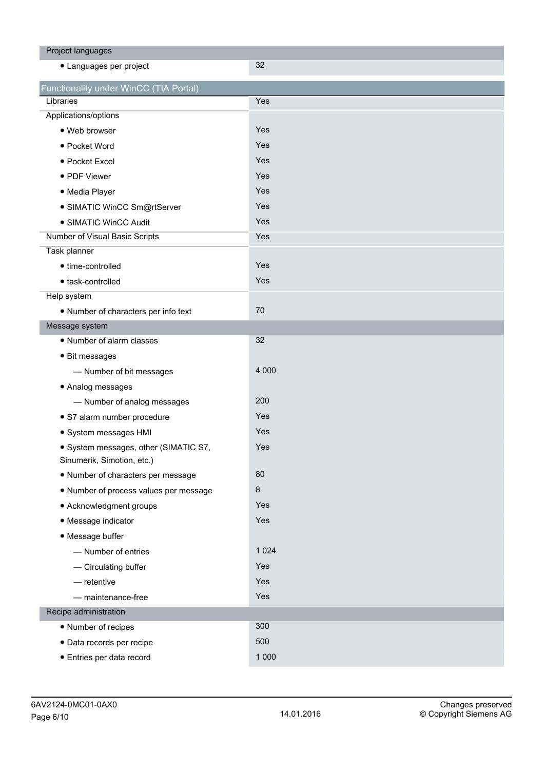| Project languages                      |         |
|----------------------------------------|---------|
| • Languages per project                | 32      |
| Functionality under WinCC (TIA Portal) |         |
| Libraries                              | Yes     |
| Applications/options                   |         |
| · Web browser                          | Yes     |
| • Pocket Word                          | Yes     |
| • Pocket Excel                         | Yes     |
| • PDF Viewer                           | Yes     |
| · Media Player                         | Yes     |
| · SIMATIC WinCC Sm@rtServer            | Yes     |
| • SIMATIC WinCC Audit                  | Yes     |
| Number of Visual Basic Scripts         | Yes     |
| Task planner                           |         |
| • time-controlled                      | Yes     |
| · task-controlled                      | Yes     |
| Help system                            |         |
| • Number of characters per info text   | 70      |
| Message system                         |         |
| • Number of alarm classes              | 32      |
| • Bit messages                         |         |
| - Number of bit messages               | 4 0 0 0 |
| • Analog messages                      |         |
| - Number of analog messages            | 200     |
| · S7 alarm number procedure            | Yes     |
| · System messages HMI                  | Yes     |
| · System messages, other (SIMATIC S7,  | Yes     |
| Sinumerik, Simotion, etc.)             |         |
| • Number of characters per message     | 80      |
| . Number of process values per message | $\bf 8$ |
| • Acknowledgment groups                | Yes     |
| • Message indicator                    | Yes     |
| • Message buffer                       |         |
| - Number of entries                    | 1 0 2 4 |
| - Circulating buffer                   | Yes     |
| $-$ retentive                          | Yes     |
| - maintenance-free                     | Yes     |
| Recipe administration                  |         |
| • Number of recipes                    | 300     |
| · Data records per recipe              | 500     |
| · Entries per data record              | 1 0 0 0 |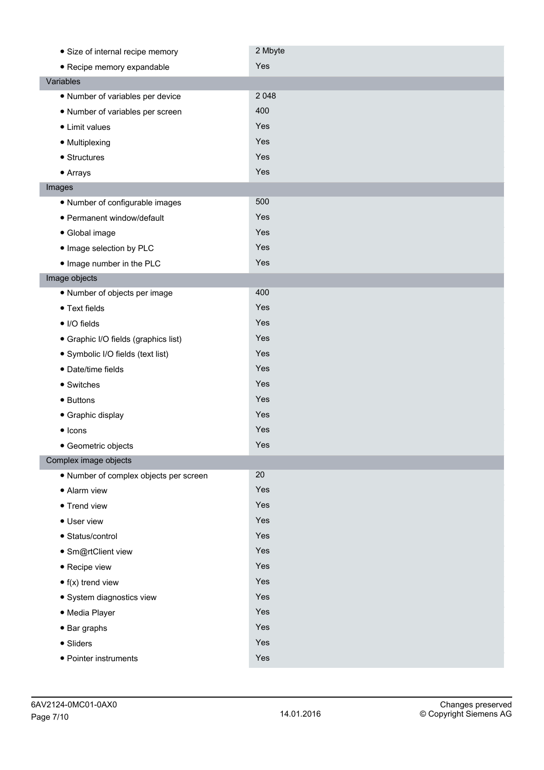| • Size of internal recipe memory       | 2 Mbyte |
|----------------------------------------|---------|
| • Recipe memory expandable             | Yes     |
| Variables                              |         |
| • Number of variables per device       | 2 0 4 8 |
| • Number of variables per screen       | 400     |
| • Limit values                         | Yes     |
| • Multiplexing                         | Yes     |
| • Structures                           | Yes     |
| • Arrays                               | Yes     |
| Images                                 |         |
| • Number of configurable images        | 500     |
| • Permanent window/default             | Yes     |
| • Global image                         | Yes     |
| . Image selection by PLC               | Yes     |
| . Image number in the PLC              | Yes     |
| Image objects                          |         |
| · Number of objects per image          | 400     |
| • Text fields                          | Yes     |
| • I/O fields                           | Yes     |
| • Graphic I/O fields (graphics list)   | Yes     |
| • Symbolic I/O fields (text list)      | Yes     |
| · Date/time fields                     | Yes     |
| • Switches                             | Yes     |
| • Buttons                              | Yes     |
| • Graphic display                      | Yes     |
| $\bullet$ Icons                        | Yes     |
| • Geometric objects                    | Yes     |
| Complex image objects                  |         |
| · Number of complex objects per screen | 20      |
| • Alarm view                           | Yes     |
| • Trend view                           | Yes     |
| • User view                            | Yes     |
| • Status/control                       | Yes     |
| · Sm@rtClient view                     | Yes     |
| • Recipe view                          | Yes     |
| $\bullet$ f(x) trend view              | Yes     |
| · System diagnostics view              | Yes     |
| · Media Player                         | Yes     |
| $\bullet$ Bar graphs                   | Yes     |
| • Sliders                              | Yes     |
| • Pointer instruments                  | Yes     |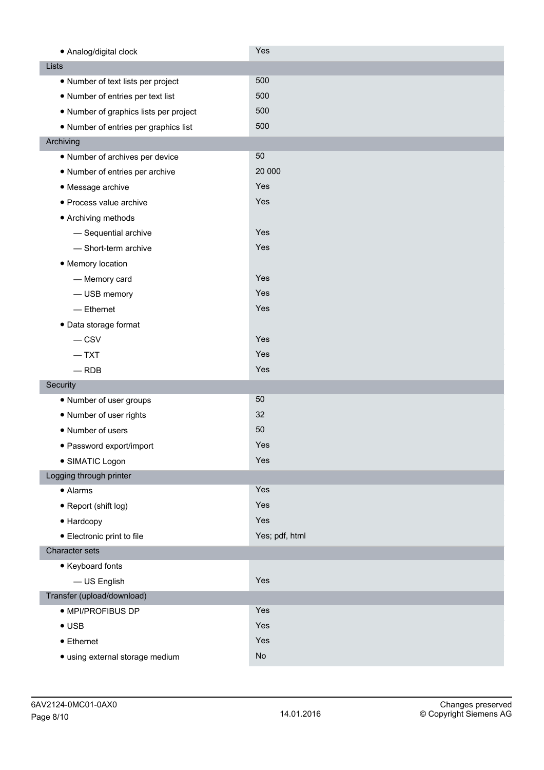| • Analog/digital clock                 | Yes            |
|----------------------------------------|----------------|
| Lists                                  |                |
| • Number of text lists per project     | 500            |
| • Number of entries per text list      | 500            |
| • Number of graphics lists per project | 500            |
| • Number of entries per graphics list  | 500            |
| Archiving                              |                |
| • Number of archives per device        | 50             |
| • Number of entries per archive        | 20 000         |
| • Message archive                      | Yes            |
| · Process value archive                | Yes            |
| • Archiving methods                    |                |
| - Sequential archive                   | Yes            |
| - Short-term archive                   | Yes            |
| • Memory location                      |                |
| - Memory card                          | Yes            |
| - USB memory                           | Yes            |
| $-$ Ethernet                           | Yes            |
| • Data storage format                  |                |
| $-$ CSV                                | Yes            |
| $-$ TXT                                | Yes            |
| $-$ RDB                                | Yes            |
| Security                               |                |
| • Number of user groups                | 50             |
| • Number of user rights                | 32             |
| • Number of users                      | 50             |
| • Password export/import               | Yes            |
| · SIMATIC Logon                        | Yes            |
| Logging through printer                |                |
| • Alarms                               | Yes            |
| • Report (shift log)                   | Yes            |
| • Hardcopy                             | Yes            |
| • Electronic print to file             | Yes; pdf, html |
| Character sets                         |                |
| • Keyboard fonts                       |                |
| - US English                           | Yes            |
| Transfer (upload/download)             |                |
| · MPI/PROFIBUS DP                      | Yes            |
| $\bullet$ USB                          | Yes            |
| • Ethernet                             | Yes            |
| · using external storage medium        | No             |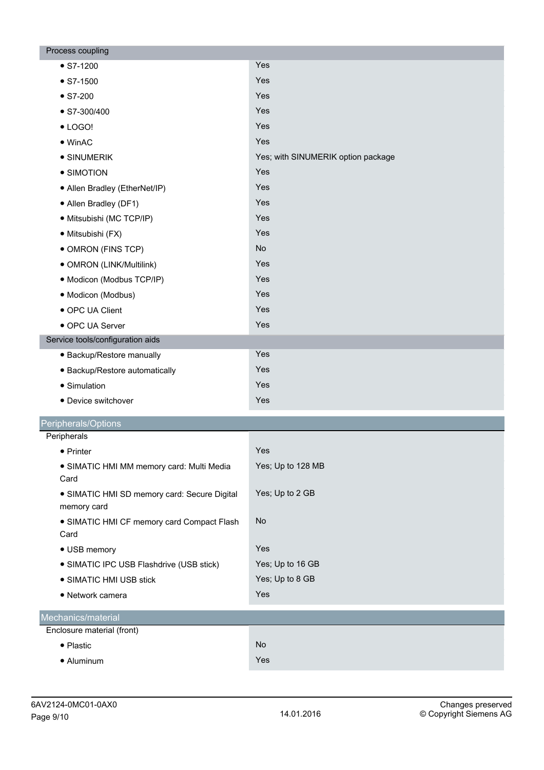| Process coupling                                            |                                    |
|-------------------------------------------------------------|------------------------------------|
| $\bullet$ S7-1200                                           | Yes                                |
| $\bullet$ S7-1500                                           | Yes                                |
| $\bullet$ S7-200                                            | Yes                                |
| $\bullet$ S7-300/400                                        | Yes                                |
| $\bullet$ LOGO!                                             | Yes                                |
| $\bullet$ WinAC                                             | Yes                                |
| • SINUMERIK                                                 | Yes; with SINUMERIK option package |
| • SIMOTION                                                  | Yes                                |
| • Allen Bradley (EtherNet/IP)                               | Yes                                |
| • Allen Bradley (DF1)                                       | Yes                                |
| · Mitsubishi (MC TCP/IP)                                    | Yes                                |
| · Mitsubishi (FX)                                           | Yes                                |
| • OMRON (FINS TCP)                                          | No                                 |
| • OMRON (LINK/Multilink)                                    | Yes                                |
| · Modicon (Modbus TCP/IP)                                   | Yes                                |
| · Modicon (Modbus)                                          | Yes                                |
| • OPC UA Client                                             | Yes                                |
| • OPC UA Server                                             | Yes                                |
| Service tools/configuration aids                            |                                    |
| · Backup/Restore manually                                   | Yes                                |
| • Backup/Restore automatically                              | Yes                                |
| • Simulation                                                | Yes                                |
| • Device switchover                                         | Yes                                |
| Peripherals/Options                                         |                                    |
| Peripherals                                                 |                                    |
| $\bullet$ Printer                                           | Yes                                |
| · SIMATIC HMI MM memory card: Multi Media<br>Card           | Yes; Up to 128 MB                  |
| • SIMATIC HMI SD memory card: Secure Digital<br>memory card | Yes; Up to 2 GB                    |
| • SIMATIC HMI CF memory card Compact Flash<br>Card          | <b>No</b>                          |
| • USB memory                                                | Yes                                |
| • SIMATIC IPC USB Flashdrive (USB stick)                    | Yes; Up to 16 GB                   |
| • SIMATIC HMI USB stick                                     | Yes; Up to 8 GB                    |
| • Network camera                                            | Yes                                |
| Mechanics/material                                          |                                    |
| Enclosure material (front)                                  |                                    |
| • Plastic                                                   | No                                 |
| • Aluminum                                                  | Yes                                |